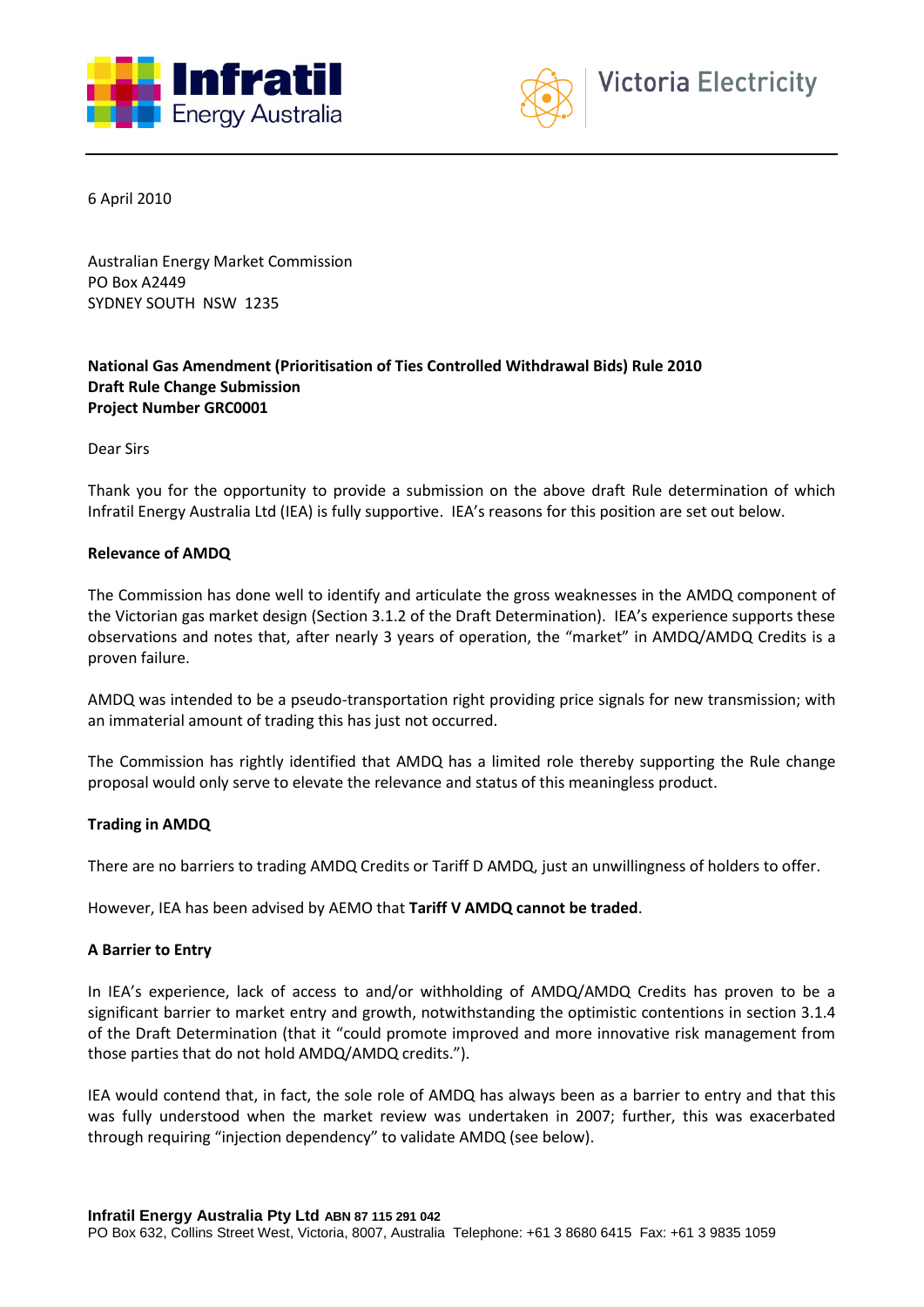



6 April 2010

Australian Energy Market Commission PO Box A2449 SYDNEY SOUTH NSW 1235

# **National Gas Amendment (Prioritisation of Ties Controlled Withdrawal Bids) Rule 2010 Draft Rule Change Submission Project Number GRC0001**

Dear Sirs

Thank you for the opportunity to provide a submission on the above draft Rule determination of which Infratil Energy Australia Ltd (IEA) is fully supportive. IEA's reasons for this position are set out below.

#### **Relevance of AMDQ**

The Commission has done well to identify and articulate the gross weaknesses in the AMDQ component of the Victorian gas market design (Section 3.1.2 of the Draft Determination). IEA's experience supports these observations and notes that, after nearly 3 years of operation, the "market" in AMDQ/AMDQ Credits is a proven failure.

AMDQ was intended to be a pseudo-transportation right providing price signals for new transmission; with an immaterial amount of trading this has just not occurred.

The Commission has rightly identified that AMDQ has a limited role thereby supporting the Rule change proposal would only serve to elevate the relevance and status of this meaningless product.

## **Trading in AMDQ**

There are no barriers to trading AMDQ Credits or Tariff D AMDQ, just an unwillingness of holders to offer.

However, IEA has been advised by AEMO that **Tariff V AMDQ cannot be traded**.

## **A Barrier to Entry**

In IEA's experience, lack of access to and/or withholding of AMDQ/AMDQ Credits has proven to be a significant barrier to market entry and growth, notwithstanding the optimistic contentions in section 3.1.4 of the Draft Determination (that it "could promote improved and more innovative risk management from those parties that do not hold AMDQ/AMDQ credits.").

IEA would contend that, in fact, the sole role of AMDQ has always been as a barrier to entry and that this was fully understood when the market review was undertaken in 2007; further, this was exacerbated through requiring "injection dependency" to validate AMDQ (see below).